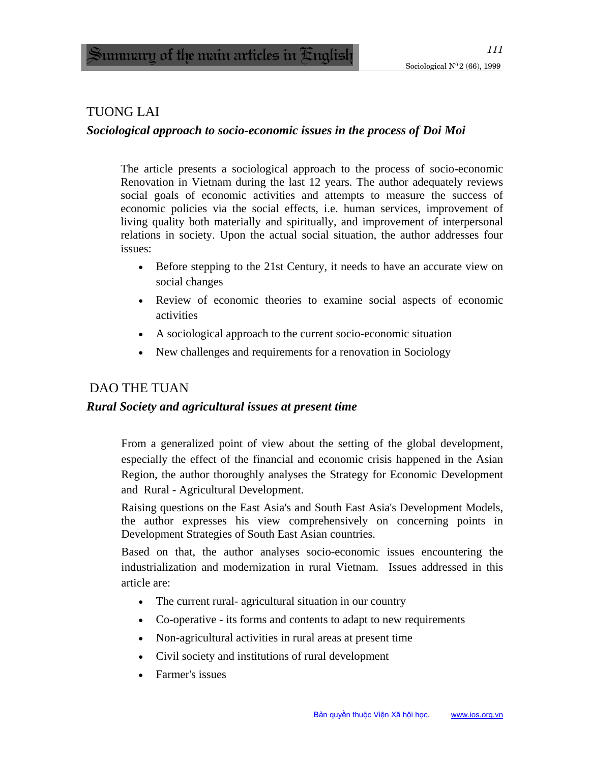### TUONG LAI

#### *Sociological approach to socio-economic issues in the process of Doi Moi*

The article presents a sociological approach to the process of socio-economic Renovation in Vietnam during the last 12 years. The author adequately reviews social goals of economic activities and attempts to measure the success of economic policies via the social effects, i.e. human services, improvement of living quality both materially and spiritually, and improvement of interpersonal relations in society. Upon the actual social situation, the author addresses four issues:

- Before stepping to the 21st Century, it needs to have an accurate view on social changes
- Review of economic theories to examine social aspects of economic activities
- A sociological approach to the current socio-economic situation
- New challenges and requirements for a renovation in Sociology

### DAO THE TUAN

#### *Rural Society and agricultural issues at present time*

From a generalized point of view about the setting of the global development, especially the effect of the financial and economic crisis happened in the Asian Region, the author thoroughly analyses the Strategy for Economic Development and Rural - Agricultural Development.

Raising questions on the East Asia's and South East Asia's Development Models, the author expresses his view comprehensively on concerning points in Development Strategies of South East Asian countries.

Based on that, the author analyses socio-economic issues encountering the industrialization and modernization in rural Vietnam. Issues addressed in this article are:

- The current rural-agricultural situation in our country
- Co-operative its forms and contents to adapt to new requirements
- Non-agricultural activities in rural areas at present time
- Civil society and institutions of rural development
- Farmer's issues